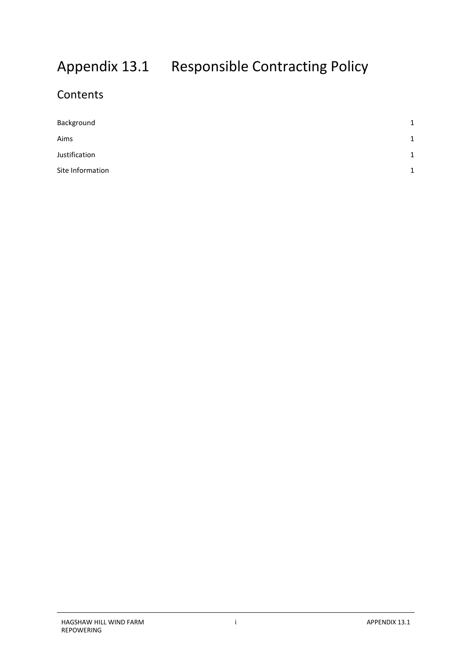# Appendix 13.1 Responsible Contracting Policy

### **Contents**

| Background       | $\mathbf{1}$ |
|------------------|--------------|
| Aims             | $\mathbf{1}$ |
| Justification    | $\mathbf{1}$ |
| Site Information | $\mathbf{1}$ |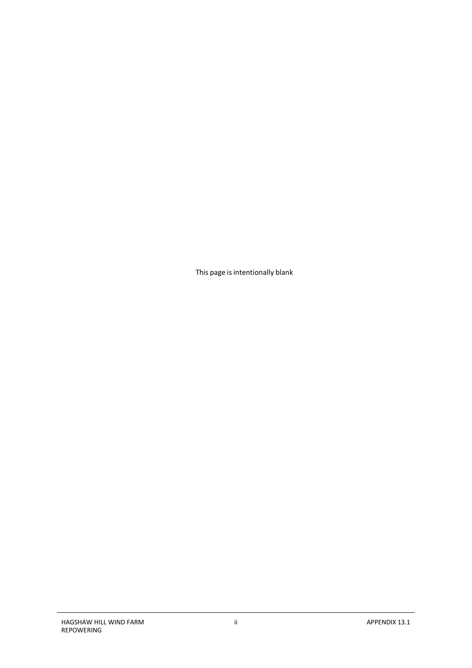This page is intentionally blank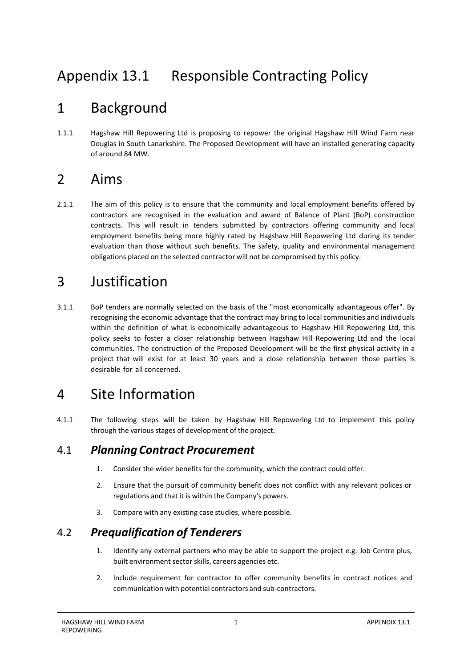# Appendix 13.1 Responsible Contracting Policy

## 1 Background

1.1.1 Hagshaw Hill Repowering Ltd is proposing to repower the original Hagshaw Hill Wind Farm near Douglas in South Lanarkshire. The Proposed Development will have an installed generating capacity of around 84 MW.

## 2 Aims

2.1.1 The aim of this policy is to ensure that the community and local employment benefits offered by contractors are recognised in the evaluation and award of Balance of Plant (BoP) construction contracts. This will result in tenders submitted by contractors offering community and local employment benefits being more highly rated by Hagshaw Hill Repowering Ltd during its tender evaluation than those without such benefits. The safety, quality and environmental management obligations placed on the selected contractor will not be compromised by this policy.

## 3 Justification

3.1.1 BoP tenders are normally selected on the basis of the "most economically advantageous offer". By recognising the economic advantage that the contract may bring to local communities and individuals within the definition of what is economically advantageous to Hagshaw Hill Repowering Ltd, this policy seeks to foster a closer relationship between Hagshaw Hill Repowering Ltd and the local communities. The construction of the Proposed Development will be the first physical activity in a project that will exist for at least 30 years and a close relationship between those parties is desirable for all concerned.

## 4 Site Information

4.1.1 The following steps will be taken by Hagshaw Hill Repowering Ltd to implement this policy through the various stages of development of the project.

#### 4.1 *Planning Contract Procurement*

- 1. Consider the wider benefits for the community, which the contract could offer.
- 2. Ensure that the pursuit of community benefit does not conflict with any relevant polices or regulations and that it is within the Company's powers.
- 3. Compare with any existing case studies, where possible.

#### 4.2 *Prequalification of Tenderers*

- 1. Identify any external partners who may be able to support the project e.g. Job Centre plus, built environment sector skills, careers agencies etc.
- 2. Include requirement for contractor to offer community benefits in contract notices and communication with potential contractors and sub-contractors.